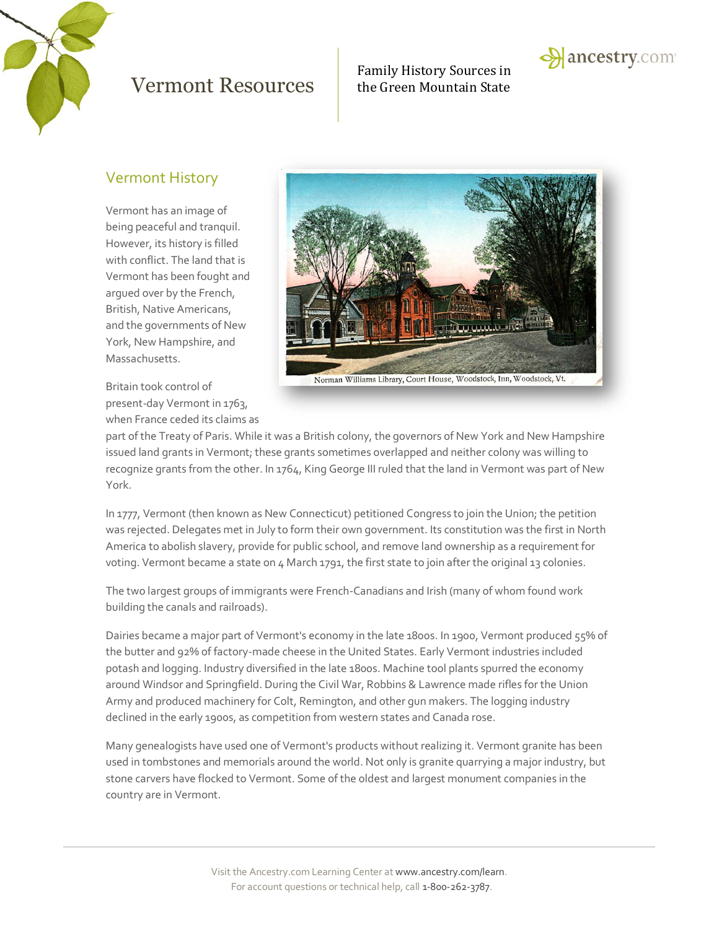

## $Vermont$   $Resolrices$   $\qquad$  the Green Mountain State

Family History Sources in



#### Vermont History

Vermont has an image of being peaceful and tranquil. However, its history is filled with conflict. The land that is Vermont has been fought and argued over by the French, British, Native Americans, and the governments of New York, New Hampshire, and Massachusetts.

Britain took control of present-day Vermont in 1763, when France ceded its claims as



part of the Treaty of Paris. While it was a British colony, the governors of New York and New Hampshire issued land grants in Vermont; these grants sometimes overlapped and neither colony was willing to recognize grants from the other. In 1764, King George III ruled that the land in Vermont was part of New York.

In 1777, Vermont (then known as New Connecticut) petitioned Congress to join the Union; the petition was rejected. Delegates met in July to form their own government. Its constitution was the first in North America to abolish slavery, provide for public school, and remove land ownership as a requirement for voting. Vermont became a state on 4 March 1791, the first state to join after the original 13 colonies.

The two largest groups of immigrants were French-Canadians and Irish (many of whom found work building the canals and railroads).

Dairies became a major part of Vermont's economy in the late 1800s. In 1900, Vermont produced 55% of the butter and 92% of factory-made cheese in the United States. Early Vermont industries included potash and logging. Industry diversified in the late 1800s. Machine tool plants spurred the economy around Windsor and Springfield. During the Civil War, Robbins & Lawrence made rifles for the Union Army and produced machinery for Colt, Remington, and other gun makers. The logging industry declined in the early 1900s, as competition from western states and Canada rose.

Many genealogists have used one of Vermont's products without realizing it. Vermont granite has been used in tombstones and memorials around the world. Not only is granite quarrying a major industry, but stone carvers have flocked to Vermont. Some of the oldest and largest monument companies in the country are in Vermont.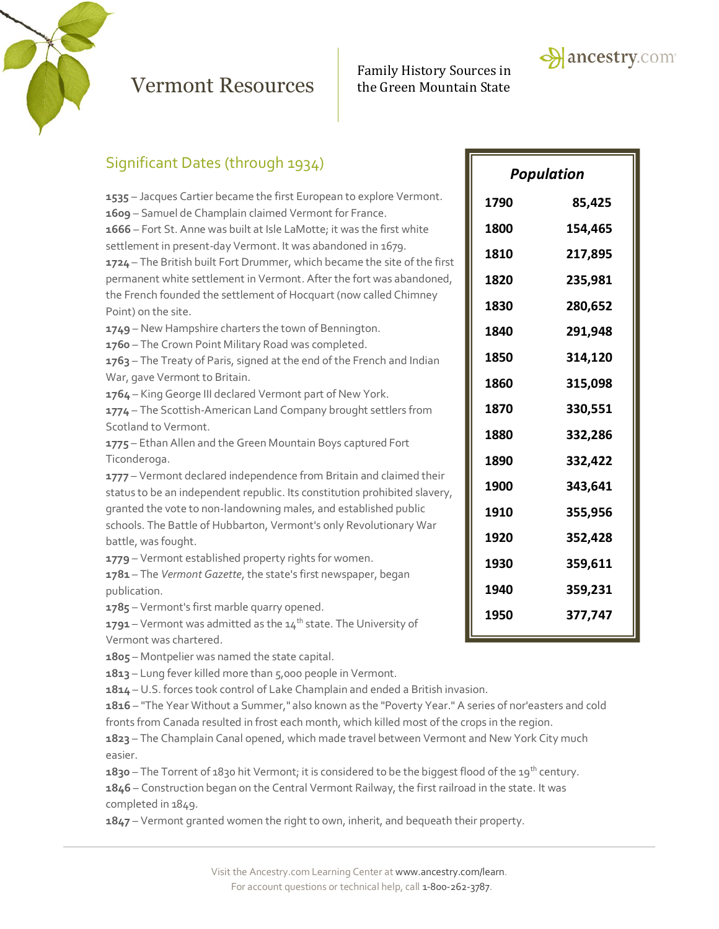

## Vermont Resources the Green Mountain State

# Family History Sources in



**1790 85,425**

**1800 154,465**

**1810 217,895**

**1820 235,981**

**1830 280,652**

**1840 291,948**

**1850 314,120**

**1860 315,098**

**1870 330,551**

**1880 332,286**

**1890 332,422**

**1900 343,641**

**1910 355,956**

**1920 352,428**

**1930 359,611**

**1940 359,231**

**1950 377,747**

| Significant Dates (through 1934)                                                                                                          |                   |     |
|-------------------------------------------------------------------------------------------------------------------------------------------|-------------------|-----|
|                                                                                                                                           | <b>Population</b> |     |
| 1535 - Jacques Cartier became the first European to explore Vermont.                                                                      | 1790              | 85  |
| 1609 - Samuel de Champlain claimed Vermont for France.<br>1666 - Fort St. Anne was built at Isle LaMotte; it was the first white          | 1800              | 154 |
| settlement in present-day Vermont. It was abandoned in 1679.                                                                              | 1810              | 217 |
| 1724 – The British built Fort Drummer, which became the site of the first                                                                 |                   |     |
| permanent white settlement in Vermont. After the fort was abandoned,<br>the French founded the settlement of Hocquart (now called Chimney | 1820              | 235 |
| Point) on the site.                                                                                                                       | 1830              | 280 |
| 1749 - New Hampshire charters the town of Bennington.                                                                                     | 1840              | 291 |
| 1760 - The Crown Point Military Road was completed.<br>1763 - The Treaty of Paris, signed at the end of the French and Indian             | 1850              | 314 |
| War, gave Vermont to Britain.                                                                                                             | 1860              | 315 |
| 1764 - King George III declared Vermont part of New York.                                                                                 |                   |     |
| 1774 - The Scottish-American Land Company brought settlers from                                                                           | 1870              | 330 |
| Scotland to Vermont.                                                                                                                      | 1880              | 332 |
| 1775 - Ethan Allen and the Green Mountain Boys captured Fort<br>Ticonderoga.                                                              | 1890              | 332 |
| 1777 - Vermont declared independence from Britain and claimed their                                                                       | 1900              | 343 |
| status to be an independent republic. Its constitution prohibited slavery,                                                                |                   |     |
| granted the vote to non-landowning males, and established public                                                                          | 1910              | 355 |
| schools. The Battle of Hubbarton, Vermont's only Revolutionary War<br>battle, was fought.                                                 | 1920              | 352 |
| 1779 - Vermont established property rights for women.                                                                                     |                   |     |
| 1781 - The Vermont Gazette, the state's first newspaper, began                                                                            | 1930              | 359 |
| publication.                                                                                                                              | 1940              | 359 |
| 1785 - Vermont's first marble quarry opened.                                                                                              | 1950              | 377 |
| the contract of the contract of the contract of the contract of the contract of the contract of the contract of                           |                   |     |

**1791** – Vermont was admitted as the 14<sup>th</sup> state. The University of Vermont was chartered.

**1805** – Montpelier was named the state capital.

**1813** – Lung fever killed more than 5,000 people in Vermont.

**1814** – U.S. forces took control of Lake Champlain and ended a British invasion.

**1816** – "The Year Without a Summer," also known as the "Poverty Year." A series of nor'easters and cold fronts from Canada resulted in frost each month, which killed most of the crops in the region.

**1823** – The Champlain Canal opened, which made travel between Vermont and New York City much easier.

**1830** – The Torrent of 1830 hit Vermont; it is considered to be the biggest flood of the 19<sup>th</sup> century.

**1846** – Construction began on the Central Vermont Railway, the first railroad in the state. It was completed in 1849.

**1847** – Vermont granted women the right to own, inherit, and bequeath their property.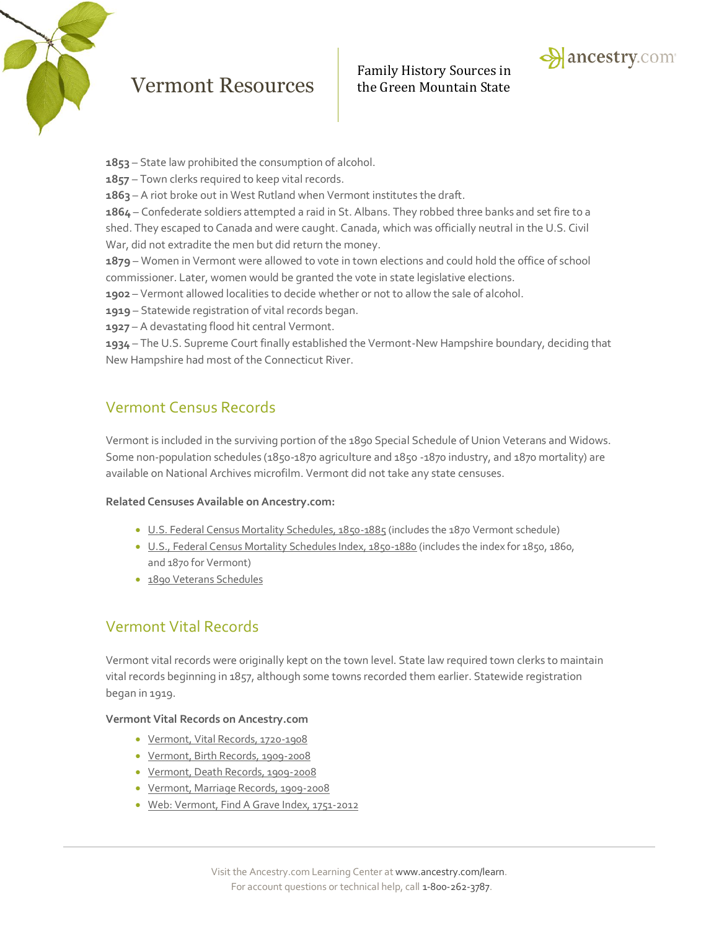

## Vermont Resources the Green Mountain State

# Family History Sources in



- **1853** State law prohibited the consumption of alcohol.
- **1857** Town clerks required to keep vital records.

**1863** – A riot broke out in West Rutland when Vermont institutes the draft.

**1864** – Confederate soldiers attempted a raid in St. Albans. They robbed three banks and set fire to a

shed. They escaped to Canada and were caught. Canada, which was officially neutral in the U.S. Civil War, did not extradite the men but did return the money.

**1879** – Women in Vermont were allowed to vote in town elections and could hold the office of school commissioner. Later, women would be granted the vote in state legislative elections.

**1902** – Vermont allowed localities to decide whether or not to allow the sale of alcohol.

**1919** – Statewide registration of vital records began.

**1927** – A devastating flood hit central Vermont.

**1934** – The U.S. Supreme Court finally established the Vermont-New Hampshire boundary, deciding that New Hampshire had most of the Connecticut River.

### Vermont Census Records

Vermont is included in the surviving portion of the 1890 Special Schedule of Union Veterans and Widows. Some non-population schedules (1850-1870 agriculture and 1850 -1870 industry, and 1870 mortality) are available on National Archives microfilm. Vermont did not take any state censuses.

#### **Related Censuses Available on Ancestry.com:**

- [U.S. Federal Census Mortality Schedules, 1850-1885](http://search.ancestry.com/search/db.aspx?dbid=8756) (includes the 1870 Vermont schedule)
- [U.S., Federal Census Mortality Schedules Index, 1850-1880](http://search.ancestry.com/search/db.aspx?dbid=3530) (includes the index for 1850, 1860, and 1870 for Vermont)
- [1890 Veterans Schedules](http://search.ancestry.com/search/db.aspx?dbid=8667)

### Vermont Vital Records

Vermont vital records were originally kept on the town level. State law required town clerks to maintain vital records beginning in 1857, although some towns recorded them earlier. Statewide registration began in 1919.

#### **Vermont Vital Records on Ancestry.com**

- [Vermont, Vital Records, 1720-1908](http://search.ancestry.com/search/db.aspx?dbid=4661)
- [Vermont, Birth Records, 1909-2008](http://search.ancestry.com/search/db.aspx?dbid=1605)
- [Vermont, Death Records, 1909-2008](http://search.ancestry.com/search/db.aspx?dbid=1607)
- [Vermont, Marriage Records, 1909-2008](http://search.ancestry.com/search/db.aspx?dbid=1606)
- [Web: Vermont, Find A Grave Index, 1751-2012](http://search.ancestry.com/search/db.aspx?dbid=70628)